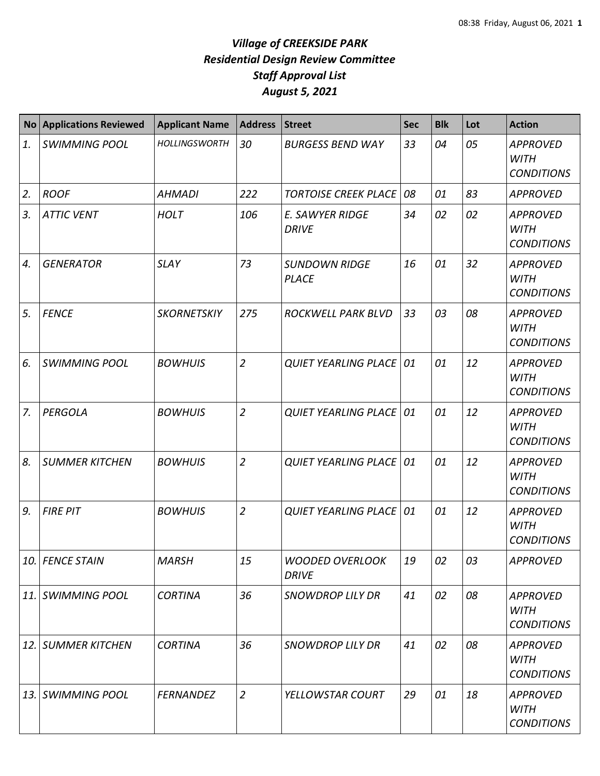| <b>No</b> | <b>Applications Reviewed</b> | <b>Applicant Name</b> | <b>Address</b> | <b>Street</b>                          | Sec | <b>Blk</b> | Lot | <b>Action</b>                                       |
|-----------|------------------------------|-----------------------|----------------|----------------------------------------|-----|------------|-----|-----------------------------------------------------|
| 1.        | <b>SWIMMING POOL</b>         | <b>HOLLINGSWORTH</b>  | 30             | <b>BURGESS BEND WAY</b>                | 33  | 04         | 05  | <b>APPROVED</b><br><b>WITH</b><br><b>CONDITIONS</b> |
| 2.        | <b>ROOF</b>                  | <b>AHMADI</b>         | 222            | <b>TORTOISE CREEK PLACE</b>            | 08  | 01         | 83  | <b>APPROVED</b>                                     |
| 3.        | <b>ATTIC VENT</b>            | <b>HOLT</b>           | 106            | E. SAWYER RIDGE<br><b>DRIVE</b>        | 34  | 02         | 02  | <b>APPROVED</b><br><b>WITH</b><br><b>CONDITIONS</b> |
| 4.        | <b>GENERATOR</b>             | <b>SLAY</b>           | 73             | <b>SUNDOWN RIDGE</b><br><b>PLACE</b>   | 16  | 01         | 32  | <b>APPROVED</b><br><b>WITH</b><br><b>CONDITIONS</b> |
| 5.        | <b>FENCE</b>                 | <b>SKORNETSKIY</b>    | 275            | <b>ROCKWELL PARK BLVD</b>              | 33  | 03         | 08  | <b>APPROVED</b><br><b>WITH</b><br><b>CONDITIONS</b> |
| 6.        | <b>SWIMMING POOL</b>         | <b>BOWHUIS</b>        | $\overline{2}$ | <b>QUIET YEARLING PLACE</b>            | 01  | 01         | 12  | <b>APPROVED</b><br><b>WITH</b><br><b>CONDITIONS</b> |
| 7.        | PERGOLA                      | <b>BOWHUIS</b>        | $\overline{2}$ | <b>QUIET YEARLING PLACE</b>            | 01  | 01         | 12  | <b>APPROVED</b><br><b>WITH</b><br><b>CONDITIONS</b> |
| 8.        | <b>SUMMER KITCHEN</b>        | <b>BOWHUIS</b>        | $\overline{2}$ | <b>QUIET YEARLING PLACE</b>            | 01  | 01         | 12  | <b>APPROVED</b><br><b>WITH</b><br><b>CONDITIONS</b> |
| 9.        | <b>FIRE PIT</b>              | <b>BOWHUIS</b>        | $\overline{2}$ | <b>QUIET YEARLING PLACE</b>            | 01  | 01         | 12  | <b>APPROVED</b><br><b>WITH</b><br><b>CONDITIONS</b> |
| 10.       | <b>FENCE STAIN</b>           | <b>MARSH</b>          | 15             | <b>WOODED OVERLOOK</b><br><b>DRIVE</b> | 19  | 02         | 03  | <b>APPROVED</b>                                     |
| 11.       | <b>SWIMMING POOL</b>         | <b>CORTINA</b>        | 36             | <b>SNOWDROP LILY DR</b>                | 41  | 02         | 08  | <b>APPROVED</b><br><b>WITH</b><br><b>CONDITIONS</b> |
| 12.       | <b>SUMMER KITCHEN</b>        | <b>CORTINA</b>        | 36             | <b>SNOWDROP LILY DR</b>                | 41  | 02         | 08  | <b>APPROVED</b><br><b>WITH</b><br><b>CONDITIONS</b> |
| 13.       | <b>SWIMMING POOL</b>         | <b>FERNANDEZ</b>      | $\overline{2}$ | YELLOWSTAR COURT                       | 29  | 01         | 18  | <b>APPROVED</b><br><b>WITH</b><br><b>CONDITIONS</b> |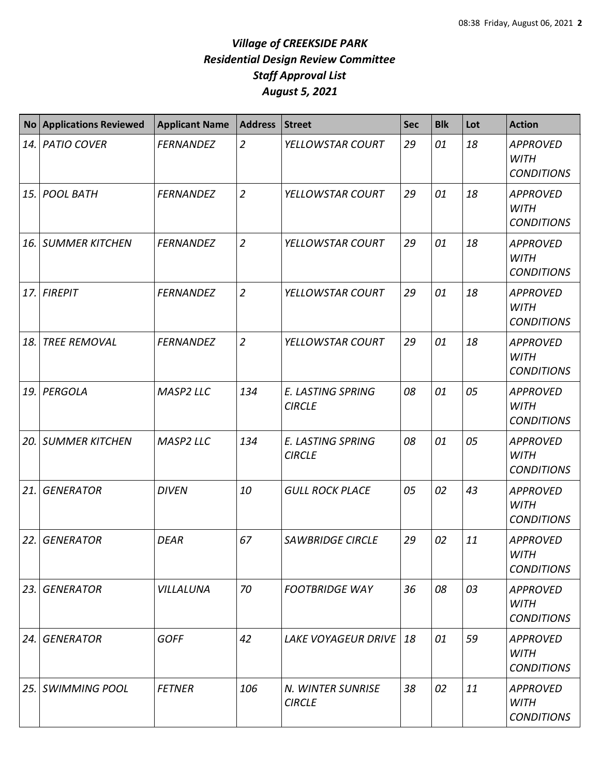| <b>No</b> | <b>Applications Reviewed</b> | <b>Applicant Name</b> | <b>Address</b> | <b>Street</b>                             | <b>Sec</b> | <b>Blk</b> | Lot | <b>Action</b>                                       |
|-----------|------------------------------|-----------------------|----------------|-------------------------------------------|------------|------------|-----|-----------------------------------------------------|
| 14.       | <b>PATIO COVER</b>           | <b>FERNANDEZ</b>      | $\overline{2}$ | YELLOWSTAR COURT                          | 29         | 01         | 18  | <b>APPROVED</b><br><b>WITH</b><br><b>CONDITIONS</b> |
| 15.       | <b>POOL BATH</b>             | <b>FERNANDEZ</b>      | $\overline{2}$ | YELLOWSTAR COURT                          | 29         | 01         | 18  | <b>APPROVED</b><br><b>WITH</b><br><b>CONDITIONS</b> |
| 16.       | <b>SUMMER KITCHEN</b>        | <b>FERNANDEZ</b>      | $\overline{2}$ | YELLOWSTAR COURT                          | 29         | 01         | 18  | <b>APPROVED</b><br><b>WITH</b><br><b>CONDITIONS</b> |
| 17.       | <b>FIREPIT</b>               | <b>FERNANDEZ</b>      | $\overline{2}$ | YELLOWSTAR COURT                          | 29         | 01         | 18  | <b>APPROVED</b><br><b>WITH</b><br><b>CONDITIONS</b> |
| 18.       | <b>TREE REMOVAL</b>          | <b>FERNANDEZ</b>      | $\overline{2}$ | YELLOWSTAR COURT                          | 29         | 01         | 18  | <b>APPROVED</b><br><b>WITH</b><br><b>CONDITIONS</b> |
| 19.       | PERGOLA                      | MASP2 LLC             | 134            | <b>E. LASTING SPRING</b><br><b>CIRCLE</b> | 08         | 01         | 05  | <b>APPROVED</b><br><b>WITH</b><br><b>CONDITIONS</b> |
| 20.       | <b>SUMMER KITCHEN</b>        | <b>MASP2 LLC</b>      | 134            | <b>E. LASTING SPRING</b><br><b>CIRCLE</b> | 08         | 01         | 05  | <b>APPROVED</b><br><b>WITH</b><br><b>CONDITIONS</b> |
| 21.       | <b>GENERATOR</b>             | <b>DIVEN</b>          | 10             | <b>GULL ROCK PLACE</b>                    | 05         | 02         | 43  | <b>APPROVED</b><br><b>WITH</b><br><b>CONDITIONS</b> |
| 22.       | <b>GENERATOR</b>             | <b>DEAR</b>           | 67             | <b>SAWBRIDGE CIRCLE</b>                   | 29         | 02         | 11  | <b>APPROVED</b><br><b>WITH</b><br><b>CONDITIONS</b> |
| 23.       | <b>GENERATOR</b>             | VILLALUNA             | 70             | <b>FOOTBRIDGE WAY</b>                     | 36         | 08         | 03  | <b>APPROVED</b><br>WITH<br><b>CONDITIONS</b>        |
| 24.       | <b>GENERATOR</b>             | <b>GOFF</b>           | 42             | <b>LAKE VOYAGEUR DRIVE</b>                | 18         | 01         | 59  | <b>APPROVED</b><br><b>WITH</b><br><b>CONDITIONS</b> |
| 25.       | <b>SWIMMING POOL</b>         | <b>FETNER</b>         | 106            | N. WINTER SUNRISE<br><b>CIRCLE</b>        | 38         | 02         | 11  | <b>APPROVED</b><br><b>WITH</b><br><b>CONDITIONS</b> |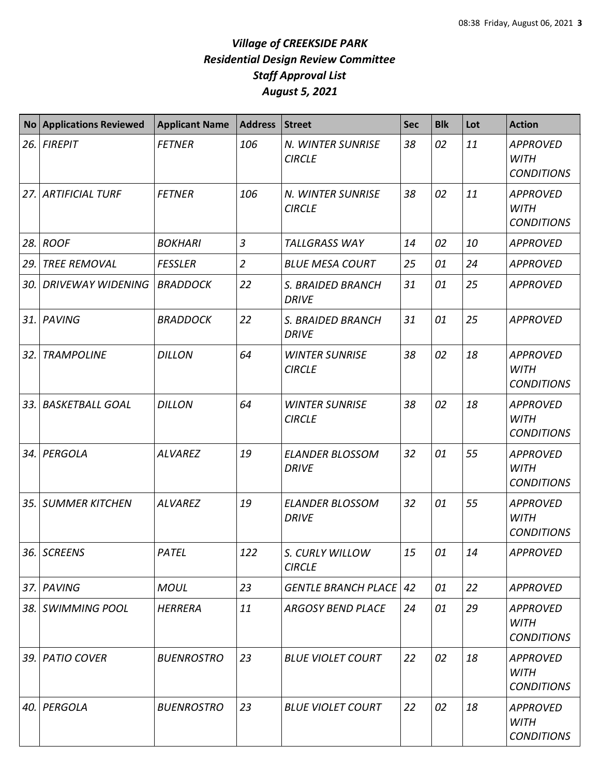| <b>No</b> | <b>Applications Reviewed</b> | <b>Applicant Name</b> | <b>Address</b> | <b>Street</b>                          | <b>Sec</b> | <b>Blk</b> | Lot | <b>Action</b>                                       |
|-----------|------------------------------|-----------------------|----------------|----------------------------------------|------------|------------|-----|-----------------------------------------------------|
| 26.       | <b>FIREPIT</b>               | <b>FETNER</b>         | 106            | N. WINTER SUNRISE<br><b>CIRCLE</b>     | 38         | 02         | 11  | <b>APPROVED</b><br><b>WITH</b><br><b>CONDITIONS</b> |
| 27.       | <b>ARTIFICIAL TURF</b>       | <b>FETNER</b>         | 106            | N. WINTER SUNRISE<br><b>CIRCLE</b>     | 38         | 02         | 11  | <b>APPROVED</b><br><b>WITH</b><br><b>CONDITIONS</b> |
| 28.       | <b>ROOF</b>                  | <b>BOKHARI</b>        | $\overline{3}$ | <b>TALLGRASS WAY</b>                   | 14         | 02         | 10  | <b>APPROVED</b>                                     |
| 29.       | <b>TREE REMOVAL</b>          | <b>FESSLER</b>        | $\overline{2}$ | <b>BLUE MESA COURT</b>                 | 25         | 01         | 24  | <b>APPROVED</b>                                     |
| 30.       | <b>DRIVEWAY WIDENING</b>     | <b>BRADDOCK</b>       | 22             | S. BRAIDED BRANCH<br><b>DRIVE</b>      | 31         | 01         | 25  | <b>APPROVED</b>                                     |
| 31.       | PAVING                       | <b>BRADDOCK</b>       | 22             | S. BRAIDED BRANCH<br><b>DRIVE</b>      | 31         | 01         | 25  | <b>APPROVED</b>                                     |
| 32.       | <b>TRAMPOLINE</b>            | <b>DILLON</b>         | 64             | <b>WINTER SUNRISE</b><br><b>CIRCLE</b> | 38         | 02         | 18  | <b>APPROVED</b><br><b>WITH</b><br><b>CONDITIONS</b> |
| 33.       | <b>BASKETBALL GOAL</b>       | <b>DILLON</b>         | 64             | <b>WINTER SUNRISE</b><br><b>CIRCLE</b> | 38         | 02         | 18  | <b>APPROVED</b><br><b>WITH</b><br><b>CONDITIONS</b> |
| 34.       | PERGOLA                      | <b>ALVAREZ</b>        | 19             | <b>ELANDER BLOSSOM</b><br><b>DRIVE</b> | 32         | 01         | 55  | <b>APPROVED</b><br><b>WITH</b><br><b>CONDITIONS</b> |
| 35.       | <b>SUMMER KITCHEN</b>        | <b>ALVAREZ</b>        | 19             | <b>ELANDER BLOSSOM</b><br><b>DRIVE</b> | 32         | 01         | 55  | <b>APPROVED</b><br><b>WITH</b><br><b>CONDITIONS</b> |
|           | 36. SCREENS                  | PATEL                 | 122            | S. CURLY WILLOW<br><b>CIRCLE</b>       | 15         | 01         | 14  | <b>APPROVED</b>                                     |
|           | 37. PAVING                   | <b>MOUL</b>           | 23             | <b>GENTLE BRANCH PLACE   42</b>        |            | 01         | 22  | <b>APPROVED</b>                                     |
|           | 38. SWIMMING POOL            | <b>HERRERA</b>        | 11             | <b>ARGOSY BEND PLACE</b>               | 24         | 01         | 29  | <b>APPROVED</b><br><b>WITH</b><br><b>CONDITIONS</b> |
| 39.       | <b>PATIO COVER</b>           | <b>BUENROSTRO</b>     | 23             | <b>BLUE VIOLET COURT</b>               | 22         | 02         | 18  | <b>APPROVED</b><br><b>WITH</b><br><b>CONDITIONS</b> |
| 40.       | PERGOLA                      | <b>BUENROSTRO</b>     | 23             | <b>BLUE VIOLET COURT</b>               | 22         | 02         | 18  | <b>APPROVED</b><br><b>WITH</b><br><b>CONDITIONS</b> |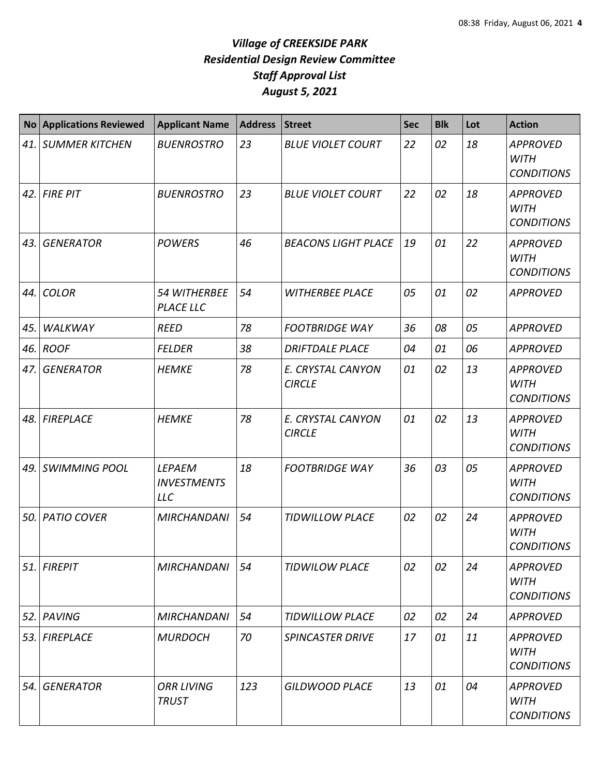| <b>No</b> | <b>Applications Reviewed</b> | <b>Applicant Name</b>                             | <b>Address</b> | <b>Street</b>                      | <b>Sec</b> | <b>Blk</b> | Lot | <b>Action</b>                                       |
|-----------|------------------------------|---------------------------------------------------|----------------|------------------------------------|------------|------------|-----|-----------------------------------------------------|
| 41.       | <b>SUMMER KITCHEN</b>        | <b>BUENROSTRO</b>                                 | 23             | <b>BLUE VIOLET COURT</b>           | 22         | 02         | 18  | <b>APPROVED</b><br><b>WITH</b><br><b>CONDITIONS</b> |
| 42.       | <b>FIRE PIT</b>              | <b>BUENROSTRO</b>                                 | 23             | <b>BLUE VIOLET COURT</b>           | 22         | 02         | 18  | <b>APPROVED</b><br><b>WITH</b><br><b>CONDITIONS</b> |
| 43.       | <b>GENERATOR</b>             | <b>POWERS</b>                                     | 46             | <b>BEACONS LIGHT PLACE</b>         | 19         | 01         | 22  | <b>APPROVED</b><br><b>WITH</b><br><b>CONDITIONS</b> |
| 44.       | <b>COLOR</b>                 | 54 WITHERBEE<br><b>PLACE LLC</b>                  | 54             | <b>WITHERBEE PLACE</b>             | 05         | 01         | 02  | <b>APPROVED</b>                                     |
| 45.       | WALKWAY                      | <b>REED</b>                                       | 78             | <b>FOOTBRIDGE WAY</b>              | 36         | 08         | 05  | <b>APPROVED</b>                                     |
| 46.       | <b>ROOF</b>                  | <b>FELDER</b>                                     | 38             | <b>DRIFTDALE PLACE</b>             | 04         | 01         | 06  | <b>APPROVED</b>                                     |
| 47.       | <b>GENERATOR</b>             | <b>HEMKE</b>                                      | 78             | E. CRYSTAL CANYON<br><b>CIRCLE</b> | 01         | 02         | 13  | <b>APPROVED</b><br><b>WITH</b><br><b>CONDITIONS</b> |
| 48.       | <b>FIREPLACE</b>             | <b>HEMKE</b>                                      | 78             | E. CRYSTAL CANYON<br><b>CIRCLE</b> | 01         | 02         | 13  | <b>APPROVED</b><br><b>WITH</b><br><b>CONDITIONS</b> |
| 49.       | <b>SWIMMING POOL</b>         | <b>LEPAEM</b><br><b>INVESTMENTS</b><br><b>LLC</b> | 18             | <b>FOOTBRIDGE WAY</b>              | 36         | 03         | 05  | <b>APPROVED</b><br><b>WITH</b><br><b>CONDITIONS</b> |
| 50.       | <b>PATIO COVER</b>           | <b>MIRCHANDANI</b>                                | 54             | <b>TIDWILLOW PLACE</b>             | 02         | 02         | 24  | <b>APPROVED</b><br><b>WITH</b><br><b>CONDITIONS</b> |
|           | 51. FIREPIT                  | <b>MIRCHANDANI</b>                                | 54             | <b>TIDWILOW PLACE</b>              | 02         | 02         | 24  | <b>APPROVED</b><br>WITH<br><b>CONDITIONS</b>        |
| 52.       | PAVING                       | <b>MIRCHANDANI</b>                                | 54             | <b>TIDWILLOW PLACE</b>             | 02         | 02         | 24  | <b>APPROVED</b>                                     |
| 53.       | <b>FIREPLACE</b>             | <b>MURDOCH</b>                                    | 70             | <b>SPINCASTER DRIVE</b>            | 17         | 01         | 11  | <b>APPROVED</b><br><b>WITH</b><br><b>CONDITIONS</b> |
| 54.       | <b>GENERATOR</b>             | <b>ORR LIVING</b><br><b>TRUST</b>                 | 123            | <b>GILDWOOD PLACE</b>              | 13         | 01         | 04  | <b>APPROVED</b><br><b>WITH</b><br><b>CONDITIONS</b> |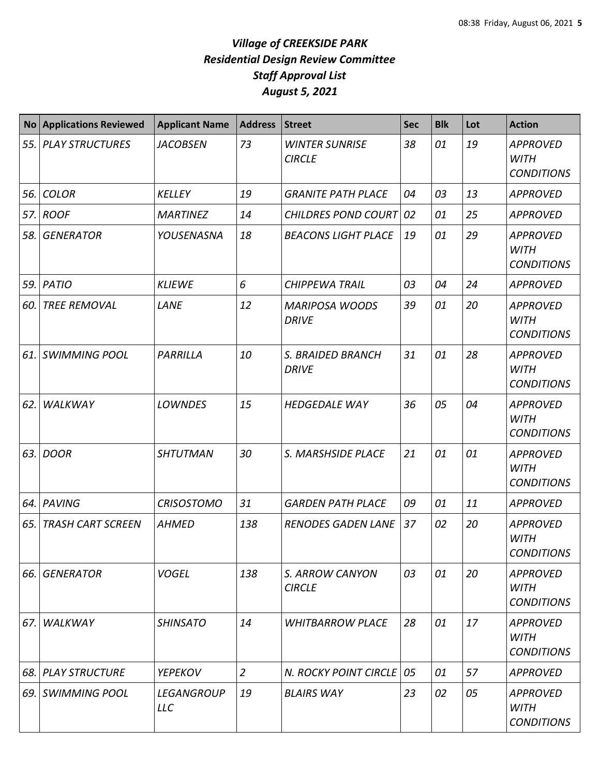| <b>No</b> | <b>Applications Reviewed</b> | <b>Applicant Name</b>           | <b>Address</b>   | <b>Street</b>                          | Sec | <b>Blk</b> | Lot | <b>Action</b>                                       |
|-----------|------------------------------|---------------------------------|------------------|----------------------------------------|-----|------------|-----|-----------------------------------------------------|
| 55.       | <b>PLAY STRUCTURES</b>       | <b>JACOBSEN</b>                 | 73               | <b>WINTER SUNRISE</b><br><b>CIRCLE</b> | 38  | 01         | 19  | <b>APPROVED</b><br><b>WITH</b><br><b>CONDITIONS</b> |
| 56.       | <b>COLOR</b>                 | <b>KELLEY</b>                   | 19               | <b>GRANITE PATH PLACE</b>              | 04  | 03         | 13  | <b>APPROVED</b>                                     |
| 57.       | <b>ROOF</b>                  | <b>MARTINEZ</b>                 | 14               | CHILDRES POND COURT 02                 |     | 01         | 25  | <b>APPROVED</b>                                     |
| 58.       | <b>GENERATOR</b>             | YOUSENASNA                      | 18               | <b>BEACONS LIGHT PLACE</b>             | 19  | 01         | 29  | <b>APPROVED</b><br><b>WITH</b><br><b>CONDITIONS</b> |
| 59.       | PATIO                        | <b>KLIEWE</b>                   | $\boldsymbol{6}$ | <b>CHIPPEWA TRAIL</b>                  | 03  | 04         | 24  | <b>APPROVED</b>                                     |
| 60.       | <b>TREE REMOVAL</b>          | LANE                            | 12               | <b>MARIPOSA WOODS</b><br><b>DRIVE</b>  | 39  | 01         | 20  | <b>APPROVED</b><br><b>WITH</b><br><b>CONDITIONS</b> |
| 61.       | <b>SWIMMING POOL</b>         | PARRILLA                        | 10               | S. BRAIDED BRANCH<br><b>DRIVE</b>      | 31  | 01         | 28  | <b>APPROVED</b><br><b>WITH</b><br><b>CONDITIONS</b> |
| 62.       | WALKWAY                      | <b>LOWNDES</b>                  | 15               | <b>HEDGEDALE WAY</b>                   | 36  | 05         | 04  | <b>APPROVED</b><br><b>WITH</b><br><b>CONDITIONS</b> |
| 63.       | <b>DOOR</b>                  | <b>SHTUTMAN</b>                 | 30               | S. MARSHSIDE PLACE                     | 21  | 01         | 01  | <b>APPROVED</b><br><b>WITH</b><br><b>CONDITIONS</b> |
| 64.       | PAVING                       | <b>CRISOSTOMO</b>               | 31               | <b>GARDEN PATH PLACE</b>               | 09  | 01         | 11  | <b>APPROVED</b>                                     |
| 65.       | <b>TRASH CART SCREEN</b>     | <b>AHMED</b>                    | 138              | <b>RENODES GADEN LANE</b>              | 37  | 02         | 20  | <b>APPROVED</b><br><b>WITH</b><br><b>CONDITIONS</b> |
| 66.       | <b>GENERATOR</b>             | <b>VOGEL</b>                    | 138              | S. ARROW CANYON<br><b>CIRCLE</b>       | 03  | 01         | 20  | <b>APPROVED</b><br><b>WITH</b><br><b>CONDITIONS</b> |
| 67.       | <b>WALKWAY</b>               | <b>SHINSATO</b>                 | 14               | <b>WHITBARROW PLACE</b>                | 28  | 01         | 17  | <b>APPROVED</b><br><b>WITH</b><br><b>CONDITIONS</b> |
| 68.       | <b>PLAY STRUCTURE</b>        | <b>YEPEKOV</b>                  | $\overline{2}$   | N. ROCKY POINT CIRCLE   05             |     | 01         | 57  | <b>APPROVED</b>                                     |
| 69.       | <b>SWIMMING POOL</b>         | <b>LEGANGROUP</b><br><b>LLC</b> | 19               | <b>BLAIRS WAY</b>                      | 23  | 02         | 05  | <b>APPROVED</b><br><b>WITH</b><br><b>CONDITIONS</b> |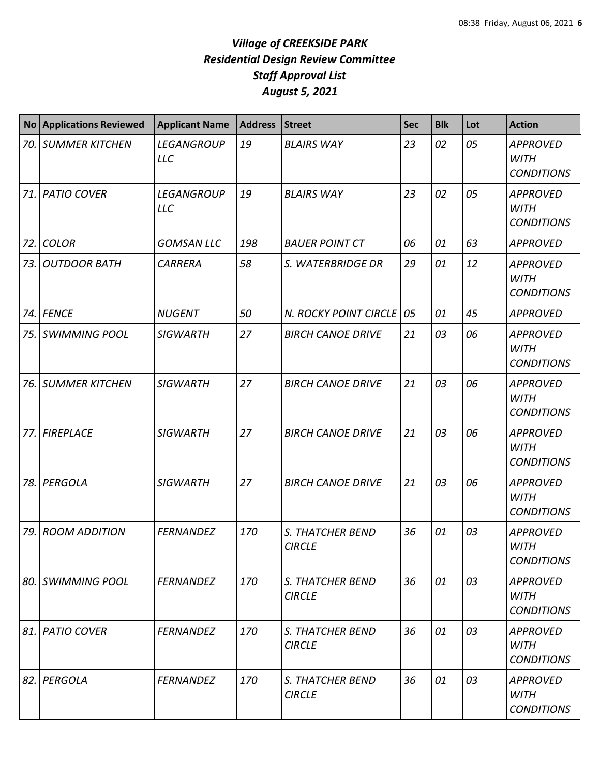| <b>No</b> | <b>Applications Reviewed</b> | <b>Applicant Name</b>           | <b>Address</b> | Street                            | <b>Sec</b> | <b>Blk</b> | Lot | <b>Action</b>                                       |
|-----------|------------------------------|---------------------------------|----------------|-----------------------------------|------------|------------|-----|-----------------------------------------------------|
| 70.       | <b>SUMMER KITCHEN</b>        | <b>LEGANGROUP</b><br><b>LLC</b> | 19             | <b>BLAIRS WAY</b>                 | 23         | 02         | 05  | <b>APPROVED</b><br><b>WITH</b><br><b>CONDITIONS</b> |
| 71.       | <b>PATIO COVER</b>           | <b>LEGANGROUP</b><br><b>LLC</b> | 19             | <b>BLAIRS WAY</b>                 | 23         | 02         | 05  | <b>APPROVED</b><br><b>WITH</b><br><b>CONDITIONS</b> |
| 72.       | <b>COLOR</b>                 | <b>GOMSAN LLC</b>               | 198            | <b>BAUER POINT CT</b>             | 06         | 01         | 63  | <b>APPROVED</b>                                     |
| 73.       | <b>OUTDOOR BATH</b>          | <b>CARRERA</b>                  | 58             | S. WATERBRIDGE DR                 | 29         | 01         | 12  | <b>APPROVED</b><br><b>WITH</b><br><b>CONDITIONS</b> |
| 74.       | <b>FENCE</b>                 | <b>NUGENT</b>                   | 50             | N. ROCKY POINT CIRCLE             | 05         | 01         | 45  | <b>APPROVED</b>                                     |
| 75.       | <b>SWIMMING POOL</b>         | <b>SIGWARTH</b>                 | 27             | <b>BIRCH CANOE DRIVE</b>          | 21         | 03         | 06  | <b>APPROVED</b><br><b>WITH</b><br><b>CONDITIONS</b> |
| 76.       | <b>SUMMER KITCHEN</b>        | <b>SIGWARTH</b>                 | 27             | <b>BIRCH CANOE DRIVE</b>          | 21         | 03         | 06  | <b>APPROVED</b><br><b>WITH</b><br><b>CONDITIONS</b> |
| 77.       | <b>FIREPLACE</b>             | <b>SIGWARTH</b>                 | 27             | <b>BIRCH CANOE DRIVE</b>          | 21         | 03         | 06  | <b>APPROVED</b><br><b>WITH</b><br><b>CONDITIONS</b> |
| 78.       | PERGOLA                      | <b>SIGWARTH</b>                 | 27             | <b>BIRCH CANOE DRIVE</b>          | 21         | 03         | 06  | <b>APPROVED</b><br><b>WITH</b><br><b>CONDITIONS</b> |
| 79.       | <b>ROOM ADDITION</b>         | <b>FERNANDEZ</b>                | 170            | S. THATCHER BEND<br><b>CIRCLE</b> | 36         | 01         | 03  | <b>APPROVED</b><br><b>WITH</b><br><b>CONDITIONS</b> |
| 80.       | <b>SWIMMING POOL</b>         | <b>FERNANDEZ</b>                | 170            | S. THATCHER BEND<br><b>CIRCLE</b> | 36         | 01         | 03  | <b>APPROVED</b><br><b>WITH</b><br><b>CONDITIONS</b> |
| 81.       | <b>PATIO COVER</b>           | <b>FERNANDEZ</b>                | 170            | S. THATCHER BEND<br><b>CIRCLE</b> | 36         | 01         | 03  | <b>APPROVED</b><br><b>WITH</b><br><b>CONDITIONS</b> |
| 82.       | PERGOLA                      | <b>FERNANDEZ</b>                | 170            | S. THATCHER BEND<br><b>CIRCLE</b> | 36         | 01         | 03  | <b>APPROVED</b><br><b>WITH</b><br><b>CONDITIONS</b> |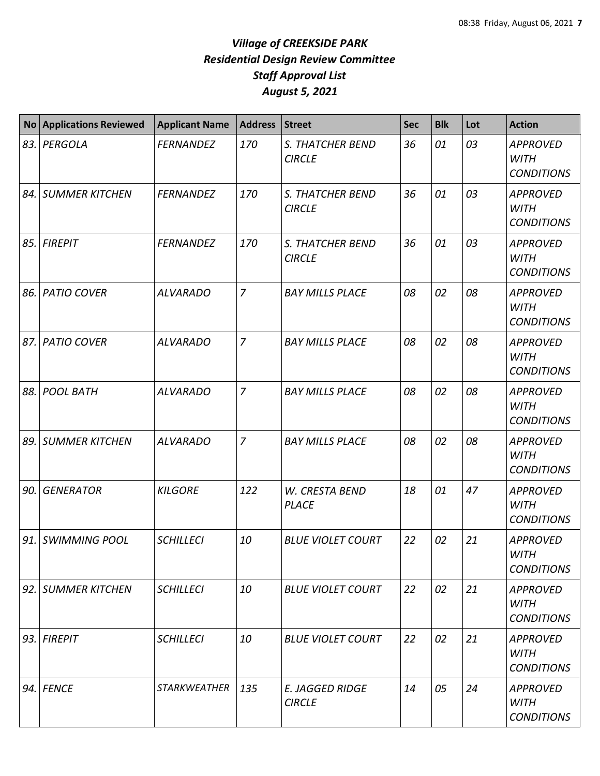| <b>No</b> | <b>Applications Reviewed</b> | <b>Applicant Name</b> | <b>Address</b> | <b>Street</b>                           | <b>Sec</b> | <b>Blk</b> | Lot | <b>Action</b>                                       |
|-----------|------------------------------|-----------------------|----------------|-----------------------------------------|------------|------------|-----|-----------------------------------------------------|
| 83.       | PERGOLA                      | <b>FERNANDEZ</b>      | 170            | S. THATCHER BEND<br><b>CIRCLE</b>       | 36         | 01         | 03  | <b>APPROVED</b><br><b>WITH</b><br><b>CONDITIONS</b> |
| 84. l     | <b>SUMMER KITCHEN</b>        | <b>FERNANDEZ</b>      | 170            | S. THATCHER BEND<br><b>CIRCLE</b>       | 36         | 01         | 03  | <b>APPROVED</b><br><b>WITH</b><br><b>CONDITIONS</b> |
| 85.       | <b>FIREPIT</b>               | <b>FERNANDEZ</b>      | 170            | S. THATCHER BEND<br><b>CIRCLE</b>       | 36         | 01         | 03  | <b>APPROVED</b><br><b>WITH</b><br><b>CONDITIONS</b> |
| 86.       | <b>PATIO COVER</b>           | <b>ALVARADO</b>       | $\overline{7}$ | <b>BAY MILLS PLACE</b>                  | 08         | 02         | 08  | <b>APPROVED</b><br><b>WITH</b><br><b>CONDITIONS</b> |
| 87.       | <b>PATIO COVER</b>           | <b>ALVARADO</b>       | $\overline{z}$ | <b>BAY MILLS PLACE</b>                  | 08         | 02         | 08  | <b>APPROVED</b><br><b>WITH</b><br><b>CONDITIONS</b> |
| 88.       | <b>POOL BATH</b>             | <b>ALVARADO</b>       | $\overline{7}$ | <b>BAY MILLS PLACE</b>                  | 08         | 02         | 08  | <b>APPROVED</b><br><b>WITH</b><br><b>CONDITIONS</b> |
| 89.       | <b>SUMMER KITCHEN</b>        | <b>ALVARADO</b>       | $\overline{z}$ | <b>BAY MILLS PLACE</b>                  | 08         | 02         | 08  | <b>APPROVED</b><br><b>WITH</b><br><b>CONDITIONS</b> |
| 90.       | <b>GENERATOR</b>             | <b>KILGORE</b>        | 122            | W. CRESTA BEND<br><b>PLACE</b>          | 18         | 01         | 47  | <b>APPROVED</b><br><b>WITH</b><br><b>CONDITIONS</b> |
| 91.       | <b>SWIMMING POOL</b>         | <b>SCHILLECI</b>      | 10             | <b>BLUE VIOLET COURT</b>                | 22         | 02         | 21  | <b>APPROVED</b><br><b>WITH</b><br><b>CONDITIONS</b> |
|           | 92. SUMMER KITCHEN           | <b>SCHILLECI</b>      | 10             | <b>BLUE VIOLET COURT</b>                | 22         | 02         | 21  | <b>APPROVED</b><br><b>WITH</b><br><b>CONDITIONS</b> |
| 93.       | <b>FIREPIT</b>               | <b>SCHILLECI</b>      | 10             | <b>BLUE VIOLET COURT</b>                | 22         | 02         | 21  | <b>APPROVED</b><br><b>WITH</b><br><b>CONDITIONS</b> |
| 94.       | <b>FENCE</b>                 | <b>STARKWEATHER</b>   | 135            | <b>E. JAGGED RIDGE</b><br><b>CIRCLE</b> | 14         | 05         | 24  | <b>APPROVED</b><br><b>WITH</b><br><b>CONDITIONS</b> |